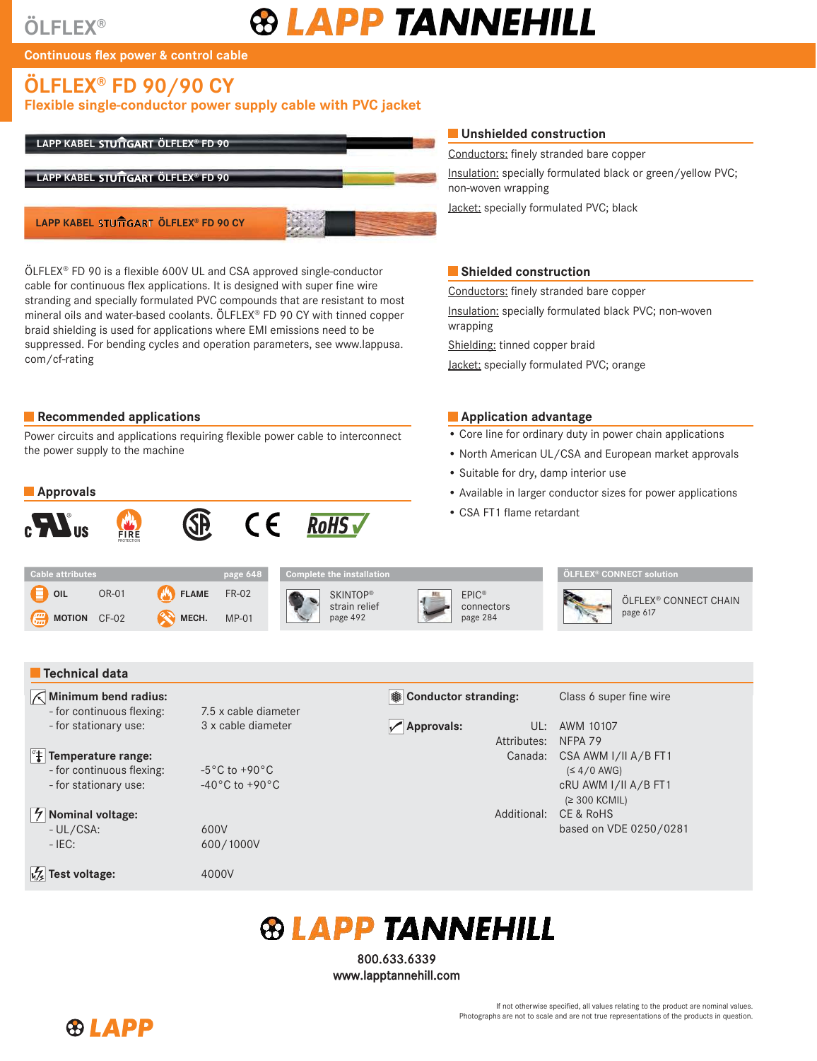# **ÖLFLEX®**

# **® LAPP TANNEHILL**

**Continuous flex power & control cable** 

# **ÖLFLEX® FD 90/90 CY**

### Flexible single-conductor power supply cable with PVC jacket



ÖLFLEX® FD 90 is a flexible 600V UL and CSA approved single-conductor cable for continuous flex applications. It is designed with super fine wire stranding and specially formulated PVC compounds that are resistant to most mineral oils and water-based coolants. ÖLFLEX® FD 90 CY with tinned copper braid shielding is used for applications where EMI emissions need to be suppressed. For bending cycles and operation parameters, see www.lappusa. com/cf-rating

### **Exercise Recommended applications**

Power circuits and applications requiring flexible power cable to interconnect the power supply to the machine

#### **Approvals**



#### $\blacksquare$  Unshielded construction

Conductors: finely stranded bare copper

Insulation: specially formulated black or green/yellow PVC; non-woven wrapping

Jacket: specially formulated PVC; black

#### $\blacksquare$  Shielded construction

Conductors: finely stranded bare copper

Insulation: specially formulated black PVC; non-woven wrapping

Shielding: tinned copper braid

Jacket: specially formulated PVC; orange

#### **Application advantage**

- Core line for ordinary duty in power chain applications
- North American UL/CSA and European market approvals
- Suitable for dry, damp interior use
- Available in larger conductor sizes for power applications
- CSA FT1 flame retardant

| Cable attributes                        |       |             | page 648 |  |
|-----------------------------------------|-------|-------------|----------|--|
| $\blacksquare$ oir                      | OR-01 | FLAME FR-02 |          |  |
| $\left(\frac{m}{m}\right)$ MOTION CF-02 |       | MECH. MP-01 |          |  |





**ÖLFLEX® CONNECT solution**



ÖLFLEX® CONNECT CHAIN page 617

#### **Technical data**

#### **Minimum bend radius:**

- for continuous flexing: 7.5 x cable diameter - for stationary use: 3 x cable diameter

#### *Therefature range:*

 $\frac{1}{2}$  Nominal voltage:

- for continuous flexing: -5°C to +90°C - for stationary use: -40°C to +90°C

- UL/CSA: 600V - IEC: 600/1000V

## **M<sub>/2</sub>** Test voltage: 4000V

#### **Example 2 Separate Class 6 super fine wire Class 6 super fine wire**

 **Approvals:** UL: AWM 10107 Attributes: NFPA 79 Canada: CSA AWM I/II A/B FT1  $(S 4/0$  AWG) c RU AWM I/II A/B FT1 (≥ 300 KCMIL) Additional: CE & RoHS based on VDE 0250/0281

# *<b>®LAPP TANNEHILL*

800.633.6339 <www.lapptannehill.com>